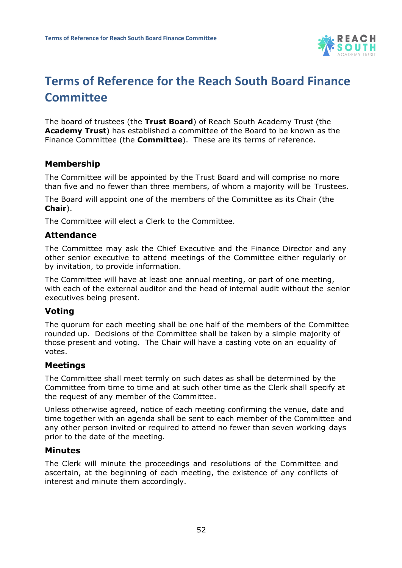

# **Terms of Reference for the Reach South Board Finance Committee**

The board of trustees (the **Trust Board**) of Reach South Academy Trust (the **Academy Trust**) has established a committee of the Board to be known as the Finance Committee (the **Committee**). These are its terms of reference.

## **Membership**

The Committee will be appointed by the Trust Board and will comprise no more than five and no fewer than three members, of whom a majority will be Trustees.

The Board will appoint one of the members of the Committee as its Chair (the **Chair**).

The Committee will elect a Clerk to the Committee.

#### **Attendance**

The Committee may ask the Chief Executive and the Finance Director and any other senior executive to attend meetings of the Committee either regularly or by invitation, to provide information.

The Committee will have at least one annual meeting, or part of one meeting, with each of the external auditor and the head of internal audit without the senior executives being present.

### **Voting**

The quorum for each meeting shall be one half of the members of the Committee rounded up. Decisions of the Committee shall be taken by a simple majority of those present and voting. The Chair will have a casting vote on an equality of votes.

### **Meetings**

The Committee shall meet termly on such dates as shall be determined by the Committee from time to time and at such other time as the Clerk shall specify at the request of any member of the Committee.

Unless otherwise agreed, notice of each meeting confirming the venue, date and time together with an agenda shall be sent to each member of the Committee and any other person invited or required to attend no fewer than seven working days prior to the date of the meeting.

#### **Minutes**

The Clerk will minute the proceedings and resolutions of the Committee and ascertain, at the beginning of each meeting, the existence of any conflicts of interest and minute them accordingly.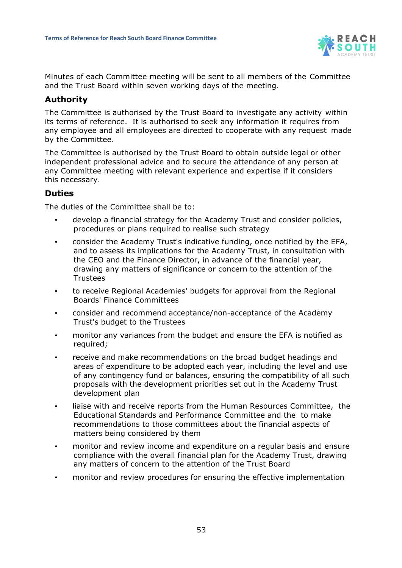

Minutes of each Committee meeting will be sent to all members of the Committee and the Trust Board within seven working days of the meeting.

### **Authority**

The Committee is authorised by the Trust Board to investigate any activity within its terms of reference. It is authorised to seek any information it requires from any employee and all employees are directed to cooperate with any request made by the Committee.

The Committee is authorised by the Trust Board to obtain outside legal or other independent professional advice and to secure the attendance of any person at any Committee meeting with relevant experience and expertise if it considers this necessary.

## **Duties**

The duties of the Committee shall be to:

- develop a financial strategy for the Academy Trust and consider policies, procedures or plans required to realise such strategy
- consider the Academy Trust's indicative funding, once notified by the EFA, and to assess its implications for the Academy Trust, in consultation with the CEO and the Finance Director, in advance of the financial year, drawing any matters of significance or concern to the attention of the Trustees
- to receive Regional Academies' budgets for approval from the Regional Boards' Finance Committees
- consider and recommend acceptance/non-acceptance of the Academy Trust's budget to the Trustees
- monitor any variances from the budget and ensure the EFA is notified as required;
- receive and make recommendations on the broad budget headings and areas of expenditure to be adopted each year, including the level and use of any contingency fund or balances, ensuring the compatibility of all such proposals with the development priorities set out in the Academy Trust development plan
- liaise with and receive reports from the Human Resources Committee, the Educational Standards and Performance Committee and the to make recommendations to those committees about the financial aspects of matters being considered by them
- monitor and review income and expenditure on a regular basis and ensure compliance with the overall financial plan for the Academy Trust, drawing any matters of concern to the attention of the Trust Board
- monitor and review procedures for ensuring the effective implementation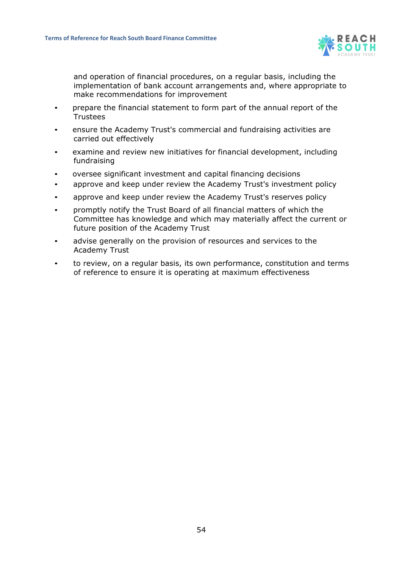

and operation of financial procedures, on a regular basis, including the implementation of bank account arrangements and, where appropriate to make recommendations for improvement

- prepare the financial statement to form part of the annual report of the **Trustees**
- ensure the Academy Trust's commercial and fundraising activities are carried out effectively
- examine and review new initiatives for financial development, including fundraising
- oversee significant investment and capital financing decisions
- approve and keep under review the Academy Trust's investment policy
- approve and keep under review the Academy Trust's reserves policy
- promptly notify the Trust Board of all financial matters of which the Committee has knowledge and which may materially affect the current or future position of the Academy Trust
- advise generally on the provision of resources and services to the Academy Trust
- to review, on a regular basis, its own performance, constitution and terms of reference to ensure it is operating at maximum effectiveness